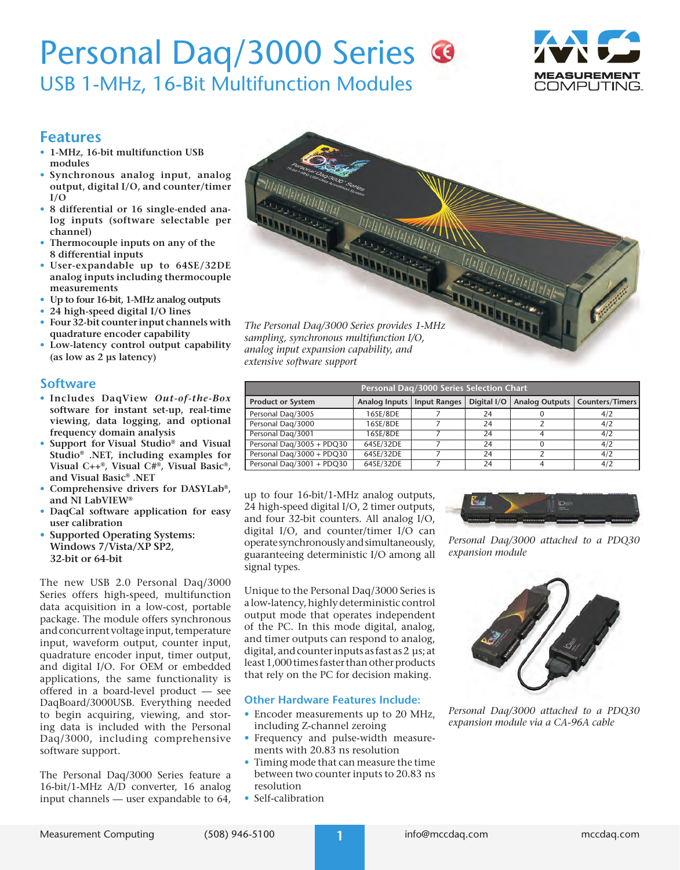# Personal Daq/3000 Series <sup>®</sup> USB 1-MHz, 16-Bit Multifunction Modules



## **Features**

- **• 1-MHz, 16-bit multifunction USB modules**
- **• Synchronous analog input, analog output, digital I/O, and counter/timer I/O**
- **• 8 differential or 16 single-ended analog inputs (software selectable per channel)**
- **• Thermocouple inputs on any of the 8 differential inputs**
- **• User-expandable up to 64SE/32DE analog inputs including thermocouple measurements**
- **• Up to four 16-bit, 1-MHz analog outputs**
- **• 24 high-speed digital I/O lines**
- **• Four 32-bit counter input channels with quadrature encoder capability**
- **• Low-latency control output capability (as low as 2 µs latency)**

### **Software**

- **• Includes DaqView** *Out-of-the-Box* **software for instant set-up, real-time viewing, data logging, and optional frequency domain analysis**
- **• Support for Visual Studio® and Visual Studio® .NET, including examples for Visual C++®, Visual C#®, Visual Basic®, and Visual Basic® .NET**
- **• Comprehensive drivers for DASYLab®, and NI LabVIEW®**
- **• DaqCal software application for easy user calibration**
- **• Supported Operating Systems: Windows 7/Vista/XP SP2, 32-bit or 64-bit**

The new USB 2.0 Personal Daq/3000 Series offers high-speed, multifunction data acquisition in a low-cost, portable package. The module offers synchronous and concurrent voltage input, temperature input, waveform output, counter input, quadrature encoder input, timer output, and digital I/O. For OEM or embedded applications, the same functionality is offered in a board-level product — see DaqBoard/3000USB. Everything needed to begin acquiring, viewing, and storing data is included with the Personal Daq/3000, including comprehensive software support.

The Personal Daq/3000 Series feature a 16-bit/1-MHz A/D converter, 16 analog input channels — user expandable to 64,

*The Personal Daq/3000 Series provides 1-MHz sampling, synchronous multifunction I/O, analog input expansion capability, and extensive software support*

| Personal Dag/3000 Series Selection Chart |               |              |             |  |                                  |
|------------------------------------------|---------------|--------------|-------------|--|----------------------------------|
| <b>Product or System</b>                 | Analog Inputs | Input Ranges | Digital I/O |  | Analog Outputs   Counters/Timers |
| Personal Dag/3005                        | 16SE/8DE      |              | 24          |  | 4/2                              |
| Personal Daq/3000                        | 16SE/8DE      |              | 24          |  | 4/2                              |
| Personal Dag/3001                        | 16SE/8DE      |              | 24          |  | 4/2                              |
| Personal Dag/3005 + PDQ30                | 64SE/32DE     |              | 24          |  | 4/2                              |
| Personal Dag/3000 + PDQ30                | 64SE/32DE     |              | 24          |  | 4/2                              |
| Personal Daq/3001 + PDQ30                | 64SE/32DE     |              | 24          |  | 4/2                              |

up to four 16-bit/1-MHz analog outputs, 24 high-speed digital I/O, 2 timer outputs, and four 32-bit counters. All analog I/O, digital I/O, and counter/timer I/O can operate synchronously and simultaneously, guaranteeing deterministic I/O among all signal types.

Unique to the Personal Daq/3000 Series is a low-latency, highly deterministic control output mode that operates independent of the PC. In this mode digital, analog, and timer outputs can respond to analog, digital, and counter inputs as fast as 2 µs; at least 1,000 times faster than other products that rely on the PC for decision making.

### **Other Hardware Features Include:**

- Encoder measurements up to 20 MHz, including Z-channel zeroing
- Frequency and pulse-width measurements with 20.83 ns resolution
- Timing mode that can measure the time between two counter inputs to 20.83 ns resolution
- Self-calibration



*Personal Daq/3000 attached to a PDQ30 expansion module*



*Personal Daq/3000 attached to a PDQ30 expansion module via a CA-96A cable*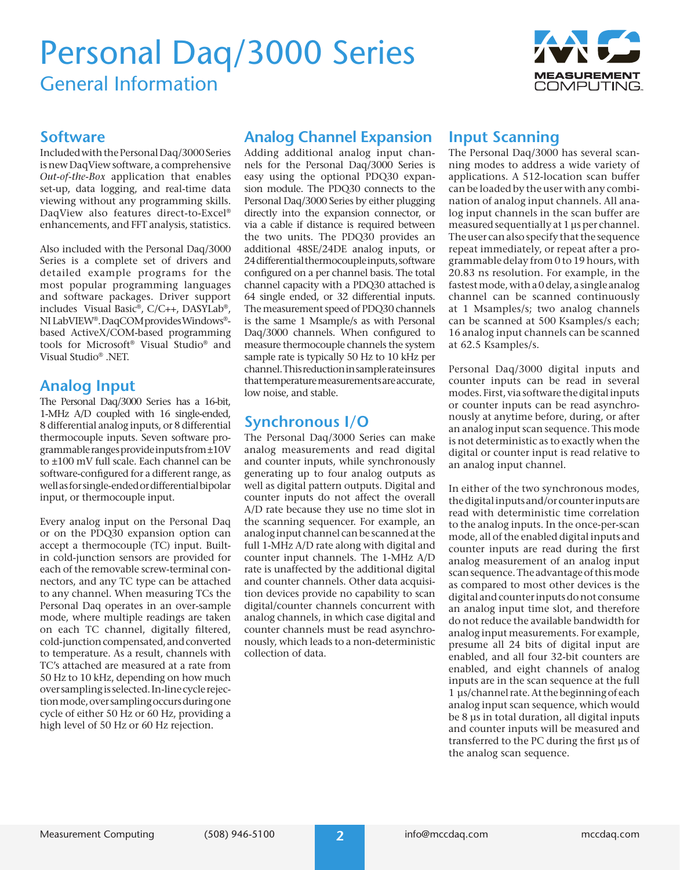

### **Software**

Included with the Personal Daq/3000 Series is new DaqView software, a comprehensive *Out-of-the-Box* application that enables set-up, data logging, and real-time data viewing without any programming skills. DaqView also features direct-to-Excel® enhancements, and FFT analysis, statistics.

Also included with the Personal Daq/3000 Series is a complete set of drivers and detailed example programs for the most popular programming languages and software packages. Driver support includes Visual Basic®, C/C++, DASYLab®, NI LabVIEW®. DaqCOM provides Windows® based ActiveX/COM-based programming tools for Microsoft® Visual Studio® and Visual Studio® .NET.

## **Analog Input**

The Personal Daq/3000 Series has a 16-bit, 1-MHz A/D coupled with 16 single-ended, 8 differential analog inputs, or 8 differential thermocouple inputs. Seven software programmable ranges provide inputs from ±10V to ±100 mV full scale. Each channel can be software-configured for a different range, as well as for single-ended or differential bipolar input, or thermocouple input.

Every analog input on the Personal Daq or on the PDQ30 expansion option can accept a thermocouple (TC) input. Builtin cold-junction sensors are provided for each of the removable screw-terminal connectors, and any TC type can be attached to any channel. When measuring TCs the Personal Daq operates in an over-sample mode, where multiple readings are taken on each TC channel, digitally filtered, cold-junction compensated, and converted to temperature. As a result, channels with TC's attached are measured at a rate from 50 Hz to 10 kHz, depending on how much over sampling is selected. In-line cycle rejection mode, over sampling occurs during one cycle of either 50 Hz or 60 Hz, providing a high level of 50 Hz or 60 Hz rejection.

## **Analog Channel Expansion**

Adding additional analog input channels for the Personal Daq/3000 Series is easy using the optional PDQ30 expansion module. The PDQ30 connects to the Personal Daq/3000 Series by either plugging directly into the expansion connector, or via a cable if distance is required between the two units. The PDQ30 provides an additional 48SE/24DE analog inputs, or 24 differential thermocouple inputs, software configured on a per channel basis. The total channel capacity with a PDQ30 attached is 64 single ended, or 32 differential inputs. The measurement speed of PDQ30 channels is the same 1 Msample/s as with Personal Daq/3000 channels. When configured to measure thermocouple channels the system sample rate is typically 50 Hz to 10 kHz per channel. This reduction in sample rate insures that temperature measurements are accurate, low noise, and stable.

## **Synchronous I/O**

The Personal Daq/3000 Series can make analog measurements and read digital and counter inputs, while synchronously generating up to four analog outputs as well as digital pattern outputs. Digital and counter inputs do not affect the overall A/D rate because they use no time slot in the scanning sequencer. For example, an analog input channel can be scanned at the full 1-MHz A/D rate along with digital and counter input channels. The 1-MHz A/D rate is unaffected by the additional digital and counter channels. Other data acquisition devices provide no capability to scan digital/counter channels concurrent with analog channels, in which case digital and counter channels must be read asynchronously, which leads to a non-deterministic collection of data.

## **Input Scanning**

The Personal Daq/3000 has several scanning modes to address a wide variety of applications. A 512-location scan buffer can be loaded by the user with any combination of analog input channels. All analog input channels in the scan buffer are measured sequentially at 1 µs per channel. The user can also specify that the sequence repeat immediately, or repeat after a programmable delay from 0 to 19 hours, with 20.83 ns resolution. For example, in the fastest mode, with a 0 delay, a single analog channel can be scanned continuously at 1 Msamples/s; two analog channels can be scanned at 500 Ksamples/s each; 16 analog input channels can be scanned at 62.5 Ksamples/s.

Personal Daq/3000 digital inputs and counter inputs can be read in several modes. First, via software the digital inputs or counter inputs can be read asynchronously at anytime before, during, or after an analog input scan sequence. This mode is not deterministic as to exactly when the digital or counter input is read relative to an analog input channel.

In either of the two synchronous modes, the digital inputs and/or counter inputs are read with deterministic time correlation to the analog inputs. In the once-per-scan mode, all of the enabled digital inputs and counter inputs are read during the first analog measurement of an analog input scan sequence. The advantage of this mode as compared to most other devices is the digital and counter inputs do not consume an analog input time slot, and therefore do not reduce the available bandwidth for analog input measurements. For example, presume all 24 bits of digital input are enabled, and all four 32-bit counters are enabled, and eight channels of analog inputs are in the scan sequence at the full 1 µs/channel rate. At the beginning of each analog input scan sequence, which would be 8 µs in total duration, all digital inputs and counter inputs will be measured and transferred to the PC during the first µs of the analog scan sequence.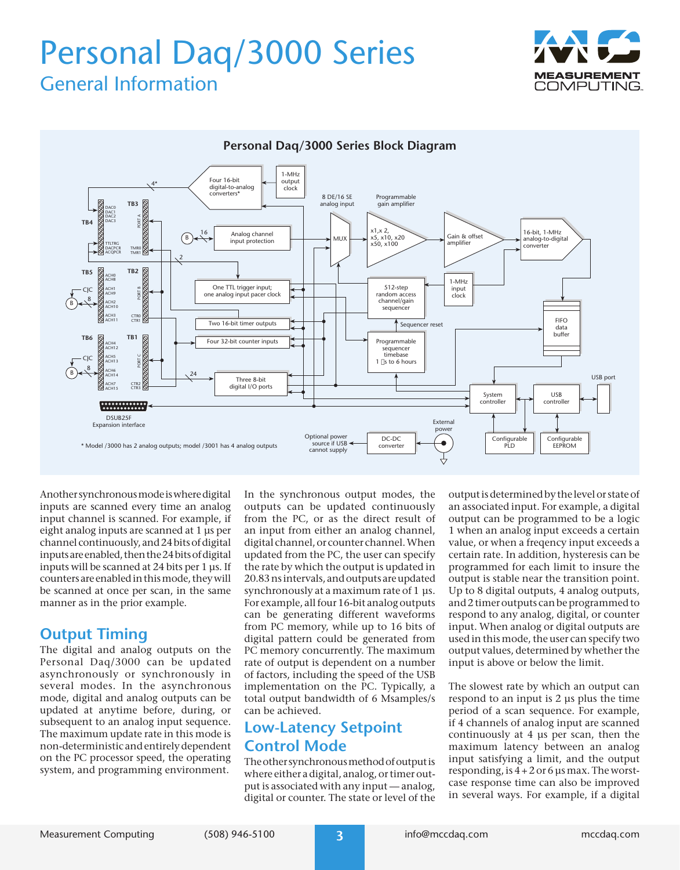



Another synchronous mode is where digital inputs are scanned every time an analog input channel is scanned. For example, if eight analog inputs are scanned at 1 µs per channel continuously, and 24 bits of digital inputs are enabled, then the 24 bits of digital inputs will be scanned at 24 bits per 1 µs. If counters are enabled in this mode, they will be scanned at once per scan, in the same manner as in the prior example.

## **Output Timing**

The digital and analog outputs on the Personal Daq/3000 can be updated asynchronously or synchronously in several modes. In the asynchronous mode, digital and analog outputs can be updated at anytime before, during, or subsequent to an analog input sequence. The maximum update rate in this mode is non-deterministic and entirely dependent on the PC processor speed, the operating system, and programming environment.

In the synchronous output modes, the outputs can be updated continuously from the PC, or as the direct result of an input from either an analog channel, digital channel, or counter channel. When updated from the PC, the user can specify the rate by which the output is updated in 20.83 ns intervals, and outputs are updated synchronously at a maximum rate of 1 µs. For example, all four 16-bit analog outputs can be generating different waveforms from PC memory, while up to 16 bits of digital pattern could be generated from PC memory concurrently. The maximum rate of output is dependent on a number of factors, including the speed of the USB implementation on the PC. Typically, a total output bandwidth of 6 Msamples/s can be achieved.

## **Low-Latency Setpoint Control Mode**

The other synchronous method of output is where either a digital, analog, or timer output is associated with any input — analog, digital or counter. The state or level of the output is determined by the level or state of an associated input. For example, a digital output can be programmed to be a logic 1 when an analog input exceeds a certain value, or when a freqency input exceeds a certain rate. In addition, hysteresis can be programmed for each limit to insure the output is stable near the transition point. Up to 8 digital outputs, 4 analog outputs, and 2 timer outputs can be programmed to respond to any analog, digital, or counter input. When analog or digital outputs are used in this mode, the user can specify two output values, determined by whether the input is above or below the limit.

The slowest rate by which an output can respond to an input is 2 µs plus the time period of a scan sequence. For example, if 4 channels of analog input are scanned continuously at 4 µs per scan, then the maximum latency between an analog input satisfying a limit, and the output responding, is  $4 + 2$  or 6 us max. The worstcase response time can also be improved in several ways. For example, if a digital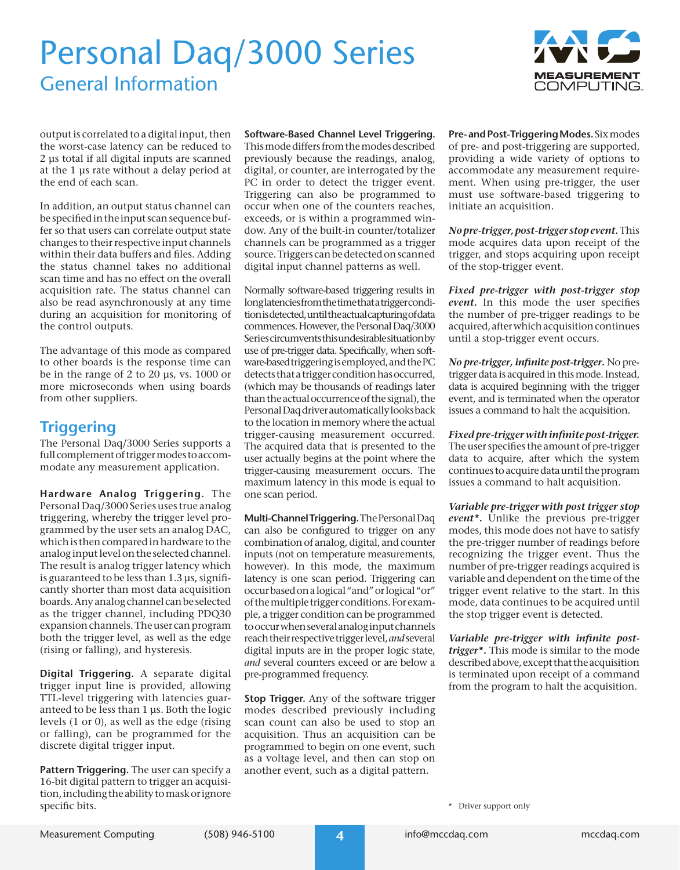

output is correlated to a digital input, then the worst-case latency can be reduced to 2 µs total if all digital inputs are scanned at the 1 µs rate without a delay period at the end of each scan.

In addition, an output status channel can be specified in the input scan sequence buffer so that users can correlate output state changes to their respective input channels within their data buffers and files. Adding the status channel takes no additional scan time and has no effect on the overall acquisition rate. The status channel can also be read asynchronously at any time during an acquisition for monitoring of the control outputs.

The advantage of this mode as compared to other boards is the response time can be in the range of 2 to 20 µs, vs. 1000 or more microseconds when using boards from other suppliers.

## **Triggering**

The Personal Daq/3000 Series supports a full complement of trigger modes to accommodate any measurement application.

**Hardware Analog Triggering.** The Personal Daq/3000 Series uses true analog triggering, whereby the trigger level programmed by the user sets an analog DAC, which is then compared in hardware to the analog input level on the selected channel. The result is analog trigger latency which is guaranteed to be less than 1.3 µs, significantly shorter than most data acquisition boards. Any analog channel can be selected as the trigger channel, including PDQ30 expansion channels. The user can program both the trigger level, as well as the edge (rising or falling), and hysteresis.

**Digital Triggering.** A separate digital trigger input line is provided, allowing TTL-level triggering with latencies guaranteed to be less than 1 µs. Both the logic levels (1 or 0), as well as the edge (rising or falling), can be programmed for the discrete digital trigger input.

**Pattern Triggering.** The user can specify a 16-bit digital pattern to trigger an acquisition, including the ability to mask or ignore specific bits.

**Software-Based Channel Level Triggering.** This mode differs from the modes described previously because the readings, analog, digital, or counter, are interrogated by the PC in order to detect the trigger event. Triggering can also be programmed to occur when one of the counters reaches, exceeds, or is within a programmed window. Any of the built-in counter/totalizer channels can be programmed as a trigger source. Triggers can be detected on scanned digital input channel patterns as well.

Normally software-based triggering results in long latencies from the time that a trigger condition is detected, until the actual capturing of data commences. However, the Personal Daq/3000 Series circumvents this undesirable situation by use of pre-trigger data. Specifically, when software-based triggering is employed, and the PC detects that a trigger condition has occurred, (which may be thousands of readings later than the actual occurrence of the signal), the Personal Daq driver automatically looks back to the location in memory where the actual trigger-causing measurement occurred. The acquired data that is presented to the user actually begins at the point where the trigger-causing measurement occurs. The maximum latency in this mode is equal to one scan period.

**Multi-Channel Triggering.** The Personal Daq can also be configured to trigger on any combination of analog, digital, and counter inputs (not on temperature measurements, however). In this mode, the maximum latency is one scan period. Triggering can occur based on a logical "and" or logical "or" of the multiple trigger conditions. For example, a trigger condition can be programmed to occur when several analog input channels reach their respective trigger level, *and* several digital inputs are in the proper logic state, *and* several counters exceed or are below a pre-programmed frequency.

**Stop Trigger.** Any of the software trigger modes described previously including scan count can also be used to stop an acquisition. Thus an acquisition can be programmed to begin on one event, such as a voltage level, and then can stop on another event, such as a digital pattern.

**Pre- and Post-Triggering Modes.** Six modes of pre- and post-triggering are supported, providing a wide variety of options to accommodate any measurement requirement. When using pre-trigger, the user must use software-based triggering to initiate an acquisition.

*No pre-trigger, post-trigger stop event.* This mode acquires data upon receipt of the trigger, and stops acquiring upon receipt of the stop-trigger event.

*Fixed pre-trigger with post-trigger stop event.* In this mode the user specifies the number of pre-trigger readings to be acquired, after which acquisition continues until a stop-trigger event occurs.

*No pre-trigger, infinite post-trigger.* No pretrigger data is acquired in this mode. Instead, data is acquired beginning with the trigger event, and is terminated when the operator issues a command to halt the acquisition.

*Fixed pre-trigger with infinite post-trigger.* The user specifies the amount of pre-trigger data to acquire, after which the system continues to acquire data until the program issues a command to halt acquisition.

*Variable pre-trigger with post trigger stop event\*.* Unlike the previous pre-trigger modes, this mode does not have to satisfy the pre-trigger number of readings before recognizing the trigger event. Thus the number of pre-trigger readings acquired is variable and dependent on the time of the trigger event relative to the start. In this mode, data continues to be acquired until the stop trigger event is detected.

*Variable pre-trigger with infinite posttrigger\*.* This mode is similar to the mode described above, except that the acquisition is terminated upon receipt of a command from the program to halt the acquisition.

\* Driver support only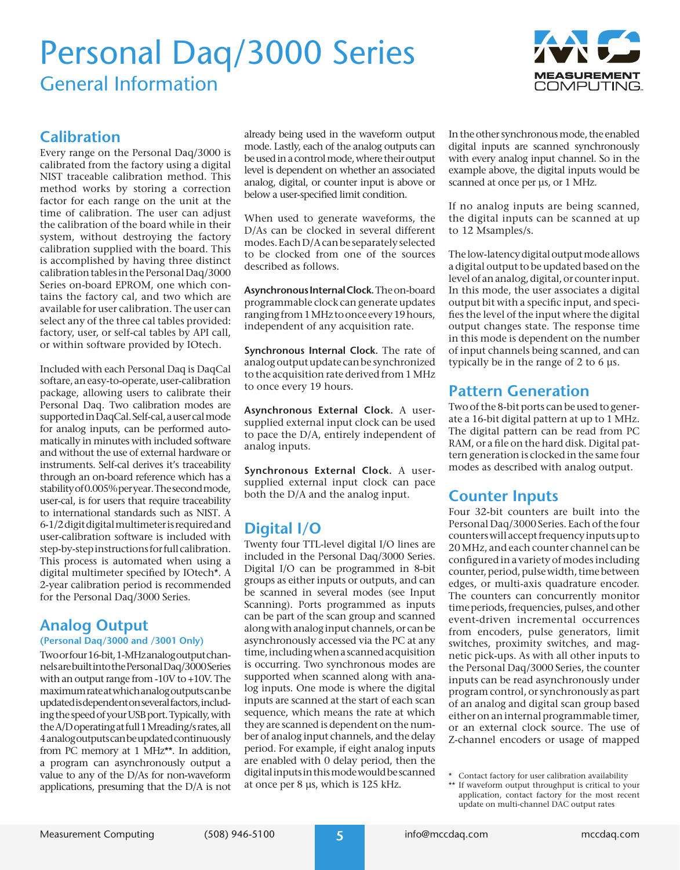

## **Calibration**

Every range on the Personal Daq/3000 is calibrated from the factory using a digital NIST traceable calibration method. This method works by storing a correction factor for each range on the unit at the time of calibration. The user can adjust the calibration of the board while in their system, without destroying the factory calibration supplied with the board. This is accomplished by having three distinct calibration tables in the Personal Daq/3000 Series on-board EPROM, one which contains the factory cal, and two which are available for user calibration. The user can select any of the three cal tables provided: factory, user, or self-cal tables by API call, or within software provided by IOtech.

Included with each Personal Daq is DaqCal softare, an easy-to-operate, user-calibration package, allowing users to calibrate their Personal Daq. Two calibration modes are supported in DaqCal. Self-cal, a user cal mode for analog inputs, can be performed automatically in minutes with included software and without the use of external hardware or instruments. Self-cal derives it's traceability through an on-board reference which has a stability of 0.005% per year. The second mode, user-cal, is for users that require traceability to international standards such as NIST. A 6-1/2 digit digital multimeter is required and user-calibration software is included with step-by-step instructions for full calibration. This process is automated when using a digital multimeter specified by IOtech\*. A 2-year calibration period is recommended for the Personal Daq/3000 Series.

## **Analog Output**

**(Personal Daq/3000 and /3001 Only)**

Two or four 16-bit, 1-MHz analog output channels are built into the Personal Daq/3000 Series with an output range from -10V to +10V. The maximum rate at which analog outputs can be updated is dependent on several factors, including the speed of your USB port. Typically, with the A/D operating at full 1 Mreading/s rates, all 4 analog outputs can be updated continuously from PC memory at 1 MHz\*\*. In addition, a program can asynchronously output a value to any of the D/As for non-waveform applications, presuming that the D/A is not

already being used in the waveform output mode. Lastly, each of the analog outputs can be used in a control mode, where their output level is dependent on whether an associated analog, digital, or counter input is above or below a user-specified limit condition.

When used to generate waveforms, the D/As can be clocked in several different modes. Each D/A can be separately selected to be clocked from one of the sources described as follows.

**Asynchronous Internal Clock.** The on-board programmable clock can generate updates ranging from 1 MHz to once every 19 hours, independent of any acquisition rate.

**Synchronous Internal Clock.** The rate of analog output update can be synchronized to the acquisition rate derived from 1 MHz to once every 19 hours.

**Asynchronous External Clock.** A usersupplied external input clock can be used to pace the D/A, entirely independent of analog inputs.

**Synchronous External Clock.** A usersupplied external input clock can pace both the D/A and the analog input.

## **Digital I/O**

Twenty four TTL-level digital I/O lines are included in the Personal Daq/3000 Series. Digital I/O can be programmed in 8-bit groups as either inputs or outputs, and can be scanned in several modes (see Input Scanning). Ports programmed as inputs can be part of the scan group and scanned along with analog input channels, or can be asynchronously accessed via the PC at any time, including when a scanned acquisition is occurring. Two synchronous modes are supported when scanned along with analog inputs. One mode is where the digital inputs are scanned at the start of each scan sequence, which means the rate at which they are scanned is dependent on the number of analog input channels, and the delay period. For example, if eight analog inputs are enabled with 0 delay period, then the digital inputs in this mode would be scanned at once per 8 µs, which is 125 kHz.

In the other synchronous mode, the enabled digital inputs are scanned synchronously with every analog input channel. So in the example above, the digital inputs would be scanned at once per  $\mu s$ , or 1 MHz.

If no analog inputs are being scanned, the digital inputs can be scanned at up to 12 Msamples/s.

The low-latency digital output mode allows a digital output to be updated based on the level of an analog, digital, or counter input. In this mode, the user associates a digital output bit with a specific input, and specifies the level of the input where the digital output changes state. The response time in this mode is dependent on the number of input channels being scanned, and can typically be in the range of 2 to 6 µs.

## **Pattern Generation**

Two of the 8-bit ports can be used to generate a 16-bit digital pattern at up to 1 MHz. The digital pattern can be read from PC RAM, or a file on the hard disk. Digital pattern generation is clocked in the same four modes as described with analog output.

### **Counter Inputs**

Four 32-bit counters are built into the Personal Daq/3000 Series. Each of the four counters will accept frequency inputs up to 20 MHz, and each counter channel can be configured in a variety of modes including counter, period, pulse width, time between edges, or multi-axis quadrature encoder. The counters can concurrently monitor time periods, frequencies, pulses, and other event-driven incremental occurrences from encoders, pulse generators, limit switches, proximity switches, and magnetic pick-ups. As with all other inputs to the Personal Daq/3000 Series, the counter inputs can be read asynchronously under program control, or synchronously as part of an analog and digital scan group based either on an internal programmable timer, or an external clock source. The use of Z-channel encoders or usage of mapped

<sup>\*</sup> Contact factory for user calibration availability

<sup>\*\*</sup> If waveform output throughput is critical to your application, contact factory for the most recent update on multi-channel DAC output rates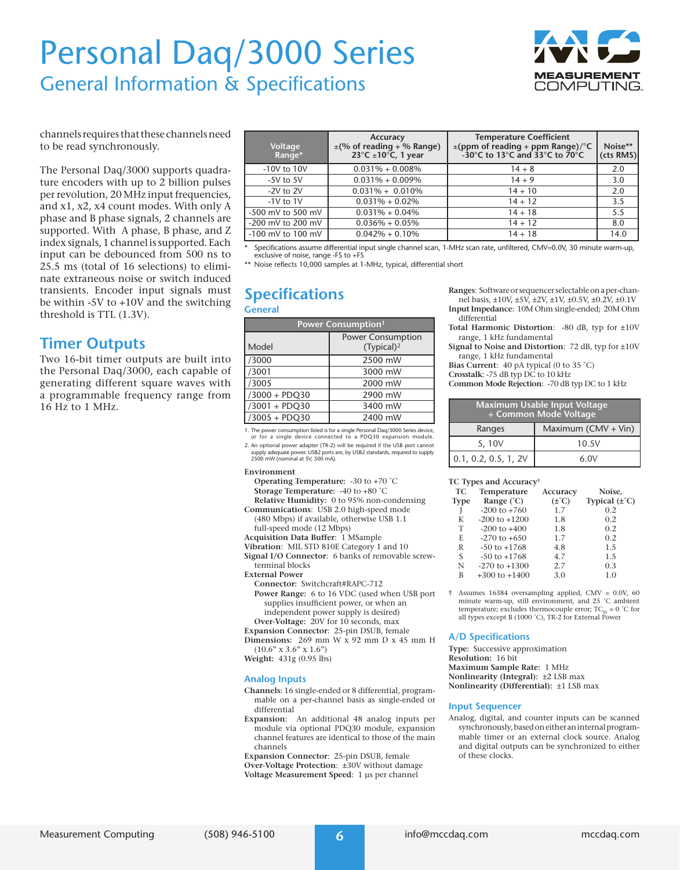# Personal Daq/3000 Series General Information & Specifications



channels requires that these channels need to be read synchronously.

The Personal Daq/3000 supports quadrature encoders with up to 2 billion pulses per revolution, 20 MHz input frequencies, and x1, x2, x4 count modes. With only A phase and B phase signals, 2 channels are supported. With A phase, B phase, and Z index signals, 1 channel is supported. Each input can be debounced from 500 ns to 25.5 ms (total of 16 selections) to eliminate extraneous noise or switch induced transients. Encoder input signals must be within -5V to +10V and the switching threshold is TTL (1.3V).

## **Timer Outputs**

Two 16-bit timer outputs are built into the Personal Daq/3000, each capable of generating different square waves with a programmable frequency range from 16 Hz to 1 MHz.

| Voltage<br>Range*     | Accuracy<br>$\pm$ (% of reading + % Range)<br>23 $\degree$ C ±10 $\degree$ C, 1 year | <b>Temperature Coefficient</b><br>±(ppm of reading + ppm Range)/°C<br>-30°C to 13°C and 33°C to $70^{\circ}$ C | Noise**<br>(cts RMS) |
|-----------------------|--------------------------------------------------------------------------------------|----------------------------------------------------------------------------------------------------------------|----------------------|
| -10V to 10V           | $0.031\% + 0.008\%$                                                                  | $14 + 8$                                                                                                       | 2.0                  |
| $-5V$ to $5V$         | $0.031\% + 0.009\%$                                                                  | $14 + 9$                                                                                                       | 3.0                  |
| $-2V$ to $2V$         | $0.031\% + 0.010\%$                                                                  | $14 + 10$                                                                                                      | 2.0                  |
| $-1V$ to $1V$         | $0.031\% + 0.02\%$                                                                   | $14 + 12$                                                                                                      | 3.5                  |
| -500 mV to 500 mV     | $0.031\% + 0.04\%$                                                                   | $14 + 18$                                                                                                      | 5.5                  |
| -200 mV to 200 mV     | $0.036\% + 0.05\%$                                                                   | $14 + 12$                                                                                                      | 8.0                  |
| $-100$ mV to $100$ mV | $0.042\% + 0.10\%$                                                                   | $14 + 18$                                                                                                      | 14.0                 |
|                       |                                                                                      |                                                                                                                |                      |

\* Specifications assume differential input single channel scan, 1-MHz scan rate, unfiltered, CMV=0.0V, 30 minute warm-up, exclusive of noise, range -FS to +FS

\*\* Noise reflects 10,000 samples at 1-MHz, typical, differential short

### **Specifications General**

| Power Consumption <sup>1</sup> |                                                    |  |
|--------------------------------|----------------------------------------------------|--|
| Model                          | <b>Power Consumption</b><br>(Typical) <sup>2</sup> |  |
| /3000                          | 2500 mW                                            |  |
| /3001                          | 3000 mW                                            |  |
| /3005                          | 2000 mW                                            |  |
| /3000 + PDQ30                  | 2900 mW                                            |  |
| /3001 + PDQ30                  | 3400 mW                                            |  |
| $/3005 + PDQ30$                | 2400 mW                                            |  |

1. The power consumption listed is for a single Personal Daq/3000 Series device, or for a single device connected to a PDQ30 expansion module.

2. An optional power adapter (TR-2) will be required if the USB port cannot supply adequate power. USB2 ports are, by USB2 standards, required to supply 2500 mW (nominal at 5V, 500 mA).

#### **Environment**

- **Operating Temperature:** -30 to +70 ˚C **Storage Temperature:** -40 to +80 ˚C
- **Relative Humidity:** 0 to 95% non-condensing
- **Communications**: USB 2.0 high-speed mode (480 Mbps) if available, otherwise USB 1.1 full-speed mode (12 Mbps)
- **Acquisition Data Buffer**: 1 MSample
- **Vibration**:MIL STD 810E Category 1 and 10

**Signal I/O Connector**:6 banks of removable screwterminal blocks

- **External Power**
- **Connector:** Switchcraft#RAPC-712
- **Power Range:** 6 to 16 VDC (used when USB port supplies insufficient power, or when an independent power supply is desired) **Over-Voltage:** 20V for 10 seconds, max
- **Expansion Connector**: 25-pin DSUB, female

**Dimensions:** 269 mm W x 92 mm D x 45 mm H  $(10.6'' \times 3.6'' \times 1.6'')$ 

**Weight:** 431g (0.95 lbs)

#### **Analog Inputs**

- **Channels**: 16 single-ended or 8 differential, programmable on a per-channel basis as single-ended or differential
- **Expansion**: An additional 48 analog inputs per module via optional PDQ30 module, expansion channel features are identical to those of the main channels

**Expansion Connector**: 25-pin DSUB, female **Over-Voltage Protection**: ±30V without damage **Voltage Measurement Speed**: 1 µs per channel

**Ranges**:Software or sequencer selectable on a per-channel basis,  $\pm 10V$ ,  $\pm 5V$ ,  $\pm 2V$ ,  $\pm 1V$ ,  $\pm 0.5V$ ,  $\pm 0.2V$ ,  $\pm 0.1V$ **Input Impedance**: 10M Ohm single-ended; 20M Ohm

- differential
- **Total Harmonic Distortion**: -80 dB, typ for ±10V range, 1 kHz fundamental
- **Signal to Noise and Distortion**: 72 dB, typ for ±10V range, 1 kHz fundamental
- **Bias Current**: 40 pA typical (0 to 35 ˚C)
- **Crosstalk**: -75 dB typ DC to 10 kHz
- **Common Mode Rejection**: -70 dB typ DC to 1 kHz

| Maximum Usable Input Voltage<br>+ Common Mode Voltage |                             |  |
|-------------------------------------------------------|-----------------------------|--|
| Ranges                                                | Maximum (CMV + Vin) $\vert$ |  |
| 5, 10V                                                | 10.5V                       |  |
| 0.1, 0.2, 0.5, 1, 2V                                  | 6 OV                        |  |

#### **TC Types and Accuracy†**

|      | $\sim$ 1, p co and recently |            |                           |
|------|-----------------------------|------------|---------------------------|
| TC   | Temperature                 | Accuracy   | Noise.                    |
| Type | Range $(^{\circ}C)$         | $(\pm$ °C) | Typical $(\pm ^{\circ}C)$ |
| J    | $-200$ to $+760$            | 1.7        | 0.2                       |
| К    | $-200$ to $+1200$           | 1.8        | 0.2                       |
| T    | $-200$ to $+400$            | 1.8        | 0.2                       |
| E    | $-270$ to $+650$            | 1.7        | 0.2                       |
| R    | $-50$ to $+1768$            | 4.8        | 1.5                       |
| S    | $-50$ to $+1768$            | 4.7        | 1.5                       |
| Ν    | $-270$ to $+1300$           | 2.7        | 0.3                       |
| B    | $+300$ to $+1400$           | 3.0        | 1.0                       |
|      |                             |            |                           |

† Assumes 16384 oversampling applied, CMV = 0.0V, 60 minute warm-up, still environment, and 25 °C ambient temperature; excludes thermocouple error;  $TC_{N} = 0$  °C for all types except B (1000 ˚C), TR-2 for External Power

#### **A/D Specifications**

**Type:** Successive approximation **Resolution:** 16 bit **Maximum Sample Rate:** 1 MHz **Nonlinearity (Integral):** ±2 LSB max **Nonlinearity (Differential):** ±1 LSB max

#### **Input Sequencer**

Analog, digital, and counter inputs can be scanned synchronously, based on either an internal programmable timer or an external clock source. Analog and digital outputs can be synchronized to either of these clocks.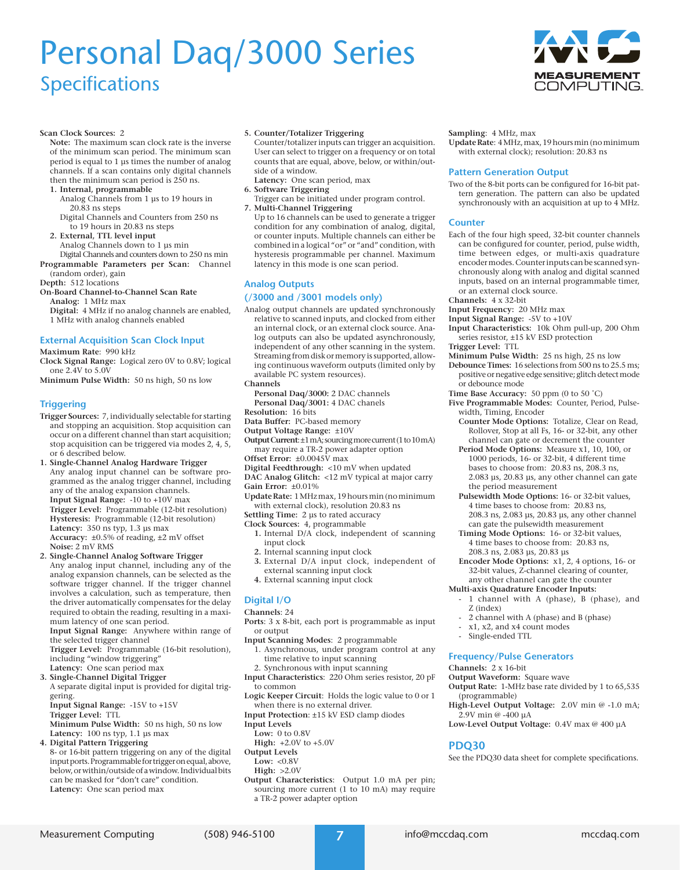# Personal Daq/3000 Series Specifications



#### **Scan Clock Sources:** 2

**Note:** The maximum scan clock rate is the inverse of the minimum scan period. The minimum scan period is equal to 1 µs times the number of analog channels. If a scan contains only digital channels then the minimum scan period is 250 ns.

#### **1. Internal, programmable**

- Analog Channels from 1 µs to 19 hours in 20.83 ns steps
- Digital Channels and Counters from 250 ns to 19 hours in 20.83 ns steps
- **2. External, TTL level input**
- Analog Channels down to 1 µs min

Digital Channels and counters down to 250 ns min **Programmable Parameters per Scan:** Channel (random order), gain

- **Depth:** 512 locations
- **On-Board Channel-to-Channel Scan Rate**
	- **Analog:** 1 MHz max

**Digital:** 4 MHz if no analog channels are enabled, 1 MHz with analog channels enabled

**External Acquisition Scan Clock Input**

#### **Maximum Rate**: 990 kHz

- **Clock Signal Range:** Logical zero 0V to 0.8V; logical one 2.4V to 5.0V
- **Minimum Pulse Width:** 50 ns high, 50 ns low

#### **Triggering**

- **Trigger Sources:** 7, individually selectable for starting and stopping an acquisition. Stop acquisition can occur on a different channel than start acquisition; stop acquisition can be triggered via modes 2, 4, 5, or 6 described below.
- **1. Single-Channel Analog Hardware Trigger** Any analog input channel can be software programmed as the analog trigger channel, including any of the analog expansion channels. **Input Signal Range:** -10 to +10V max **Trigger Level:** Programmable (12-bit resolution) **Hysteresis:** Programmable (12-bit resolution) **Latency:** 350 ns typ, 1.3 µs max **Accuracy:** ±0.5% of reading, ±2 mV offset **Noise:** 2 mV RMS
- **2. Single-Channel Analog Software Trigger** Any analog input channel, including any of the analog expansion channels, can be selected as the software trigger channel. If the trigger channel involves a calculation, such as temperature, then the driver automatically compensates for the delay required to obtain the reading, resulting in a maximum latency of one scan period.

**Input Signal Range:** Anywhere within range of the selected trigger channel

- **Trigger Level:** Programmable (16-bit resolution), including "window triggering" Latency: One scan period max
- **3. Single-Channel Digital Trigger**

A separate digital input is provided for digital triggering.

- **Input Signal Range:** -15V to +15V
- **Trigger Level:** TTL
- **Minimum Pulse Width:** 50 ns high, 50 ns low **Latency:** 100 ns typ, 1.1 µs max
- **4. Digital Pattern Triggering**
	- 8- or 16-bit pattern triggering on any of the digital input ports. Programmable for trigger on equal, above, below, or within/outside of a window. Individual bits can be masked for "don't care" condition. **Latency:** One scan period max

#### **5. Counter/Totalizer Triggering**

Counter/totalizer inputs can trigger an acquisition. User can select to trigger on a frequency or on total counts that are equal, above, below, or within/outside of a window.

- **Latency:** One scan period, max
- **6. Software Triggering**
- Trigger can be initiated under program control. **7. Multi-Channel Triggering**
- Up to 16 channels can be used to generate a trigger condition for any combination of analog, digital, or counter inputs. Multiple channels can either be combined in a logical "or" or "and" condition, with hysteresis programmable per channel. Maximum latency in this mode is one scan period.

#### **Analog Outputs**

#### **(/3000 and /3001 models only)**

- Analog output channels are updated synchronously relative to scanned inputs, and clocked from either an internal clock, or an external clock source. Analog outputs can also be updated asynchronously, independent of any other scanning in the system. Streaming from disk or memory is supported, allowing continuous waveform outputs (limited only by available PC system resources). **Channels**
- **Personal Daq/3000:** 2 DAC channels **Personal Daq/3001:** 4 DAC chanels
- **Resolution:** 16 bits
- **Data Buffer:** PC-based memory
- **Output Voltage Range:** ±10V
- **Output Current**: ±1 mA; sourcing more current (1 to 10 mA) may require a TR-2 power adapter option
- **Offset Error:** ±0.0045V max
- **Digital Feedthrough:** <10 mV when updated
- **DAC Analog Glitch:** <12 mV typical at major carry **Gain Error:** ±0.01%
- **Update Rate:** 1 MHz max, 19 hours min (no minimum with external clock), resolution 20.83 ns
- 
- **Settling Time:** 2 µs to rated accuracy
- **Clock Sources:** 4, programmable
	- **1.** Internal D/A clock, independent of scanning input clock
	- **2.** Internal scanning input clock
	- **3.** External D/A input clock, independent of external scanning input clock
	- **4.** External scanning input clock

### **Digital I/O**

- **Channels**: 24
- **Ports**: 3 x 8-bit, each port is programmable as input or output
- **Input Scanning Modes**: 2 programmable
	- 1. Asynchronous, under program control at any time relative to input scanning
	- 2. Synchronous with input scanning
- **Input Characteristics**: 220 Ohm series resistor, 20 pF to common
- **Logic Keeper Circuit**: Holds the logic value to 0 or 1 when there is no external driver.
- **Input Protection**: ±15 kV ESD clamp diodes
- **Input Levels**
- **Low:** 0 to 0.8V
- **High:** +2.0V to +5.0V
- **Output Levels**
	- **Low:** <0.8V
	- **High:** >2.0V
- **Output Characteristics**: Output 1.0 mA per pin; sourcing more current (1 to 10 mA) may require a TR-2 power adapter option

Measurement Computing (508) 946-5100 **7** info@mccdaq.com mccdaq.com

#### **Sampling**: 4 MHz, max

**Update Rate**: 4 MHz, max, 19 hours min (no minimum with external clock); resolution: 20.83 ns

#### **Pattern Generation Output**

Two of the 8-bit ports can be configured for 16-bit pattern generation. The pattern can also be updated synchronously with an acquisition at up to 4 MHz.

#### **Counter**

- Each of the four high speed, 32-bit counter channels can be configured for counter, period, pulse width, time between edges, or multi-axis quadrature encoder modes. Counter inputs can be scanned synchronously along with analog and digital scanned inputs, based on an internal programmable timer, or an external clock source.
- **Channels:** 4 x 32-bit
- **Input Frequency:** 20 MHz max
- **Input Signal Range:** -5V to +10V
- **Input Characteristics:** 10k Ohm pull-up, 200 Ohm series resistor, ±15 kV ESD protection
- **Trigger Level:** TTL
- **Minimum Pulse Width:** 25 ns high, 25 ns low
- **Debounce Times:** 16 selections from 500 ns to 25.5 ms; positive or negative edge sensitive; glitch detect mode or debounce mode
- **Time Base Accuracy:** 50 ppm (0 to 50 ˚C)
- **Five Programmable Modes:** Counter, Period, Pulsewidth, Timing, Encoder
	- **Counter Mode Options:** Totalize, Clear on Read, Rollover, Stop at all Fs, 16- or 32-bit, any other channel can gate or decrement the counter
	- **Period Mode Options:** Measure x1, 10, 100, or 1000 periods, 16- or 32-bit, 4 different time bases to choose from: 20.83 ns, 208.3 ns, 2.083 µs, 20.83 µs, any other channel can gate the period measurement
	- **Pulsewidth Mode Options:** 16- or 32-bit values, 4 time bases to choose from: 20.83 ns, 208.3 ns, 2.083 µs, 20.83 µs, any other channel can gate the pulsewidth measurement
	- **Timing Mode Options:** 16- or 32-bit values, 4 time bases to choose from: 20.83 ns, 208.3 ns, 2.083 µs, 20.83 µs
	- **Encoder Mode Options:** x1, 2, 4 options, 16- or 32-bit values, Z-channel clearing of counter, any other channel can gate the counter

#### **Multi-axis Quadrature Encoder Inputs:**

1 channel with A (phase), B (phase), and Z (index)

**High-Level Output Voltage:** 2.0V min @ -1.0 mA;

See the PDQ30 data sheet for complete specifications.

**Low-Level Output Voltage:** 0.4V max @ 400 µA

- 2 channel with A (phase) and B (phase)
- x1, x2, and x4 count modes
- Single-ended TTL

#### **Frequency/Pulse Generators**

#### **Channels:** 2 x 16-bit

(programmable)

**PDQ30**

2.9V min @ -400 µA

**Output Waveform:** Square wave **Output Rate:** 1-MHz base rate divided by 1 to 65,535